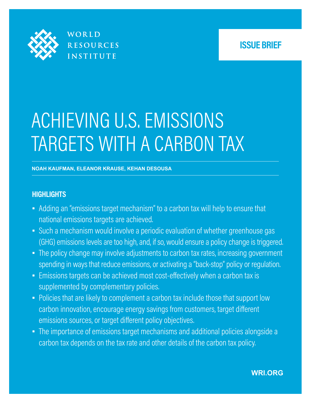

WORLD **RESOURCES INSTITUTE** 

## **ISSUE BRIEF**

# ACHIEVING U.S. EMISSIONS TARGETS WITH A CARBON TAX

#### **NOAH KAUFMAN, ELEANOR KRAUSE, KEHAN DESOUSA**

## **HIGHLIGHTS**

- **EXT** Adding an "emissions target mechanism" to a carbon tax will help to ensure that national emissions targets are achieved.
- Such a mechanism would involve a periodic evaluation of whether greenhouse gas (GHG) emissions levels are too high, and, if so, would ensure a policy change is triggered.
- **·** The policy change may involve adjustments to carbon tax rates, increasing government spending in ways that reduce emissions, or activating a "back-stop" policy or regulation.
- **Emissions targets can be achieved most cost-effectively when a carbon tax is** supplemented by complementary policies.
- Policies that are likely to complement a carbon tax include those that support low carbon innovation, encourage energy savings from customers, target diferent emissions sources, or target diferent policy objectives.
- The importance of emissions target mechanisms and additional policies alongside a carbon tax depends on the tax rate and other details of the carbon tax policy.

## **WRI.ORG**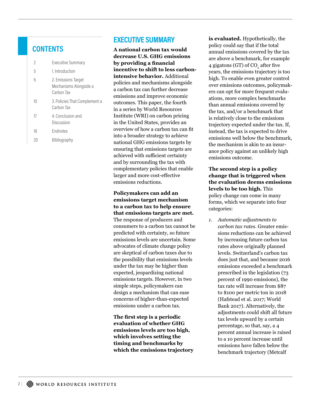## **CONTENTS**

| 2  | Executive Summary                                           |
|----|-------------------------------------------------------------|
| 5  | 1. Introduction                                             |
| 6  | 2. Emissions Target<br>Mechanisms Alongside a<br>Carbon Tax |
| 10 | 3. Policies That Complement a<br>Carbon Tax                 |
| 17 | 4. Conclusion and<br>Discussion                             |
| 18 | <b>Endnotes</b>                                             |
|    | Bibliography                                                |

## **EXECUTIVE SUMMARY**

**A national carbon tax would decrease U.S. GHG emissions by providing a fnancial incentive to shift to less carbonintensive behavior.** Additional policies and mechanisms alongside a carbon tax can further decrease emissions and improve economic outcomes. This paper, the fourth in a series by World Resources Institute (WRI) on carbon pricing in the United States, provides an overview of how a carbon tax can ft into a broader strategy to achieve national GHG emissions targets by ensuring that emissions targets are achieved with sufficient certainty and by surrounding the tax with complementary policies that enable larger and more cost-efective emissions reductions.

**Policymakers can add an emissions target mechanism to a carbon tax to help ensure that emissions targets are met.**

The response of producers and consumers to a carbon tax cannot be predicted with certainty, so future emissions levels are uncertain. Some advocates of climate change policy are skeptical of carbon taxes due to the possibility that emissions levels under the tax may be higher than expected, jeopardizing national emissions targets. However, in two simple steps, policymakers can design a mechanism that can ease concerns of higher-than-expected emissions under a carbon tax.

**The frst step is a periodic evaluation of whether GHG emissions levels are too high, which involves setting the timing and benchmarks by which the emissions trajectory**  **is evaluated.** Hypothetically, the policy could say that if the total annual emissions covered by the tax are above a benchmark, for example 4 gigatons (GT) of CO<sub>2</sub> after five years, the emissions trajectory is too high. To enable even greater control over emissions outcomes, policymakers can opt for more frequent evaluations, more complex benchmarks than annual emissions covered by the tax, and/or a benchmark that is relatively close to the emissions trajectory expected under the tax. If, instead, the tax is expected to drive emissions well below the benchmark, the mechanism is akin to an insurance policy against an unlikely high emissions outcome.

**The second step is a policy change that is triggered when the evaluation deems emissions levels to be too high.** This policy change can come in many forms, which we separate into four categories:

*1. Automatic adjustments to carbon tax rates.* Greater emissions reductions can be achieved by increasing future carbon tax rates above originally planned levels. Switzerland's carbon tax does just that, and because 2016 emissions exceeded a benchmark prescribed in the legislation (73 percent of 1990 emissions), the tax rate will increase from \$87 to \$100 per metric ton in 2018 (Hafstead et al. 2017; World Bank 2017). Alternatively, the adjustments could shift all future tax levels upward by a certain percentage, so that, say, a 4 percent annual increase is raised to a 10 percent increase until emissions have fallen below the benchmark trajectory (Metcalf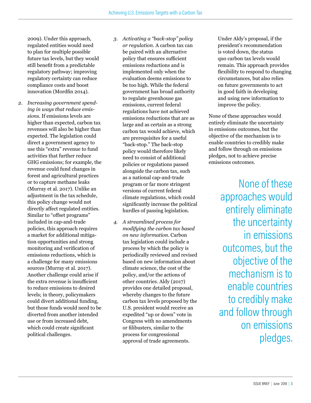2009). Under this approach, regulated entities would need to plan for multiple possible future tax levels, but they would still benefit from a predictable regulatory pathway; improving regulatory certainty can reduce compliance costs and boost innovation (Mordfin 2014).

- *2. Increasing government spending in ways that reduce emissions.* If emissions levels are higher than expected, carbon tax revenues will also be higher than expected. The legislation could direct a government agency to use this "extra" revenue to fund activities that further reduce GHG emissions; for example, the revenue could fund changes in forest and agricultural practices or to capture methane leaks (Murray et al. 2017). Unlike an adjustment in the tax schedule, this policy change would not directly affect regulated entities. Similar to "offset programs" included in cap-and-trade policies, this approach requires a market for additional mitigation opportunities and strong monitoring and verifcation of emissions reductions, which is a challenge for many emissions sources (Murray et al. 2017). Another challenge could arise if the extra revenue is insufficient to reduce emissions to desired levels; in theory, policymakers could divert additional funding, but those funds would need to be diverted from another intended use or from increased debt, which could create signifcant political challenges.
- *3. Activating a "back-stop" policy or regulation.* A carbon tax can be paired with an alternative policy that ensures sufficient emissions reductions and is implemented only when the evaluation deems emissions to be too high. While the federal government has broad authority to regulate greenhouse gas emissions, current federal regulations have not achieved emissions reductions that are as large and as certain as a strong carbon tax would achieve, which are prerequisites for a useful "back-stop." The back-stop policy would therefore likely need to consist of additional policies or regulations passed alongside the carbon tax, such as a national cap-and-trade program or far more stringent versions of current federal climate regulations, which could signifcantly increase the political hurdles of passing legislation.
- *4. A streamlined process for modifying the carbon tax based on new information.* Carbon tax legislation could include a process by which the policy is periodically reviewed and revised based on new information about climate science, the cost of the policy, and/or the actions of other countries. Aldy (2017) provides one detailed proposal, whereby changes to the future carbon tax levels proposed by the U.S. president would receive an expedited "up or down" vote in Congress with no amendments or flibusters, similar to the process for congressional approval of trade agreements.

Under Aldy's proposal, if the president's recommendation is voted down, the status quo carbon tax levels would remain. This approach provides fexibility to respond to changing circumstances, but also relies on future governments to act in good faith in developing and using new information to improve the policy.

None of these approaches would entirely eliminate the uncertainty in emissions outcomes, but the objective of the mechanism is to enable countries to credibly make and follow through on emissions pledges, not to achieve precise emissions outcomes.

> None of these approaches would entirely eliminate the uncertainty in emissions outcomes, but the objective of the mechanism is to enable countries to credibly make and follow through on emissions pledges.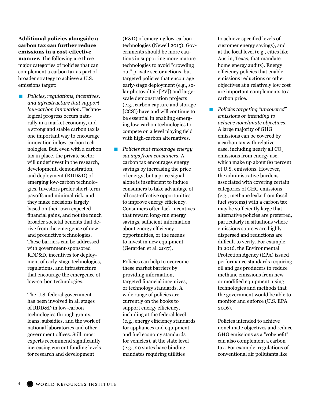**Additional policies alongside a carbon tax can further reduce emissions in a cost-efective manner.** The following are three major categories of policies that can complement a carbon tax as part of broader strategy to achieve a U.S. emissions target:

■ *Policies, regulations, incentives, and infrastructure that support low-carbon innovation.* Technological progress occurs naturally in a market economy, and a strong and stable carbon tax is one important way to encourage innovation in low-carbon technologies. But, even with a carbon tax in place, the private sector will underinvest in the research, development, demonstration, and deployment (RDD&D) of emerging low-carbon technologies. Investors prefer short-term payofs and minimal risk, and they make decisions largely based on their own expected fnancial gains, and not the much broader societal benefts that derive from the emergence of new and productive technologies. These barriers can be addressed with government-sponsored RDD&D, incentives for deployment of early-stage technologies, regulations, and infrastructure that encourage the emergence of low-carbon technologies.

The U.S. federal government has been involved in all stages of RDD&D in low-carbon technologies through grants, loans, subsidies, and the work of national laboratories and other government offices. Still, most experts recommend signifcantly increasing current funding levels for research and development

(R&D) of emerging low-carbon technologies (Newell 2015). Governments should be more cautious in supporting more mature technologies to avoid "crowding out" private sector actions, but targeted policies that encourage early-stage deployment (e.g., solar photovoltaic [PV]) and largescale demonstration projects (e.g., carbon capture and storage [CCS]) have and will continue to be essential in enabling emerging low-carbon technologies to compete on a level playing feld with high-carbon alternatives.

▪ *Policies that encourage energy savings from consumers.* A carbon tax encourages energy savings by increasing the price of energy, but a price signal alone is insufficient to induce consumers to take advantage of all cost-efective opportunities to improve energy efficiency. Consumers often lack incentives that reward long-run energy savings, sufficient information about energy efficiency opportunities, or the means to invest in new equipment (Gerarden et al. 2017).

Policies can help to overcome these market barriers by providing information, targeted fnancial incentives, or technology standards. A wide range of policies are currently on the books to support energy efficiency, including at the federal level (e.g., energy efficiency standards) for appliances and equipment, and fuel economy standards for vehicles), at the state level (e.g., 20 states have binding mandates requiring utilities

to achieve specifed levels of customer energy savings), and at the local level (e.g., cities like Austin, Texas, that mandate home energy audits). Energy efficiency policies that enable emissions reductions or other objectives at a relatively low cost are important complements to a carbon price.

▪ *Policies targeting "uncovered" emissions or intending to achieve nonclimate objectives.* A large majority of GHG emissions can be covered by a carbon tax with relative ease, including nearly all CO<sub>2</sub> emissions from energy use, which make up about 80 percent of U.S. emissions. However, the administrative burdens associated with covering certain categories of GHG emissions (e.g., methane leaks from fossil fuel systems) with a carbon tax may be sufficiently large that alternative policies are preferred, particularly in situations where emissions sources are highly dispersed and reductions are difficult to verify. For example, in 2016, the Environmental Protection Agency (EPA) issued performance standards requiring oil and gas producers to reduce methane emissions from new or modifed equipment, using technologies and methods that the government would be able to monitor and enforce (U.S. EPA 2016).

Policies intended to achieve nonclimate objectives and reduce GHG emissions as a "cobeneft" can also complement a carbon tax. For example, regulations of conventional air pollutants like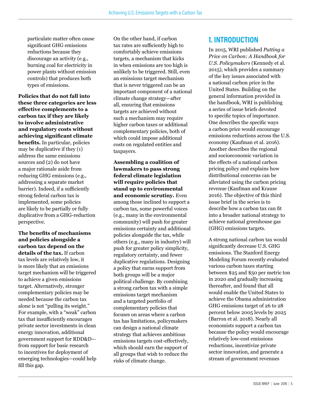particulate matter often cause signifcant GHG emissions reductions because they discourage an activity (e.g., burning coal for electricity in power plants without emission controls) that produces both types of emissions.

**Policies that do not fall into these three categories are less efective complements to a carbon tax if they are likely to involve administrative and regulatory costs without achieving signifcant climate benefts.** In particular, policies may be duplicative if they (1) address the same emissions sources and (2) do not have a major rationale aside from reducing GHG emissions (e.g., addressing a separate market barrier). Indeed, if a sufficiently strong federal carbon tax is implemented, some policies are likely to be partially or fully duplicative from a GHG-reduction perspective.

**The benefts of mechanisms and policies alongside a carbon tax depend on the details of the tax.** If carbon tax levels are relatively low, it is more likely that an emissions target mechanism will be triggered to achieve a given emissions target. Alternatively, stronger complementary policies may be needed because the carbon tax alone is not "pulling its weight." For example, with a "weak" carbon tax that insufficiently encourages private sector investments in clean energy innovation, additional government support for RDD&D from support for basic research to incentives for deployment of emerging technologies—could help fll this gap.

On the other hand, if carbon tax rates are sufficiently high to comfortably achieve emissions targets, a mechanism that kicks in when emissions are too high is unlikely to be triggered. Still, even an emissions target mechanism that is never triggered can be an important component of a national climate change strategy—after all, ensuring that emissions targets are achieved without such a mechanism may require higher carbon taxes or additional complementary policies, both of which could impose additional costs on regulated entities and taxpayers.

**Assembling a coalition of lawmakers to pass strong federal climate legislation will require policies that stand up to environmental and economic scrutiny.** Even among those inclined to support a carbon tax, some powerful voices (e.g., many in the environmental community) will push for greater emissions certainty and additional policies alongside the tax, while others (e.g., many in industry) will push for greater policy simplicity, regulatory certainty, and fewer duplicative regulations. Designing a policy that earns support from both groups will be a major political challenge. By combining a strong carbon tax with a simple emissions target mechanism and a targeted portfolio of complementary policies that focuses on areas where a carbon tax has limitations, policymakers can design a national climate strategy that achieves ambitious emissions targets cost-efectively, which should earn the support of all groups that wish to reduce the risks of climate change.

## **1. INTRODUCTION**

In 2015, WRI published *Putting a Price on Carbon: A Handbook for U.S. Policymakers* (Kennedy et al. 2015), which provides a summary of the key issues associated with a national carbon price in the United States. Building on the general information provided in the handbook, WRI is publishing a series of issue briefs devoted to specifc topics of importance. One describes the specifc ways a carbon price would encourage emissions reductions across the U.S. economy (Kaufman et al. 2016). Another describes the regional and socioeconomic variation in the efects of a national carbon pricing policy and explains how distributional concerns can be alleviated using the carbon pricing revenue (Kaufman and Krause 2016). The objective of this third issue brief in the series is to describe how a carbon tax can ft into a broader national strategy to achieve national greenhouse gas (GHG) emissions targets.

A strong national carbon tax would signifcantly decrease U.S. GHG emissions. The Stanford Energy Modeling Forum recently evaluated various carbon taxes starting between \$25 and \$50 per metric ton in 2020 and gradually increasing thereafter, and found that all would enable the United States to achieve the Obama administration GHG emissions target of 26 to 28 percent below 2005 levels by 2025 (Barron et al. 2018). Nearly all economists support a carbon tax because the policy would encourage relatively low-cost emissions reductions, incentivize private sector innovation, and generate a stream of government revenues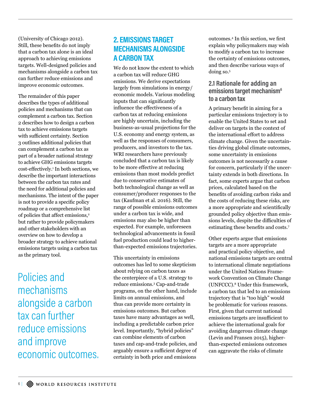(University of Chicago 2012). Still, these benefts do not imply that a carbon tax alone is an ideal approach to achieving emissions targets. Well-designed policies and mechanisms alongside a carbon tax can further reduce emissions and improve economic outcomes.

The remainder of this paper describes the types of additional policies and mechanisms that can complement a carbon tax. Section 2 describes how to design a carbon tax to achieve emissions targets with sufficient certainty. Section 3 outlines additional policies that can complement a carbon tax as part of a broader national strategy to achieve GHG emissions targets cost-efectively.<sup>1</sup> In both sections, we describe the important interactions between the carbon tax rates and the need for additional policies and mechanisms. The intent of the paper is not to provide a specifc policy roadmap or a comprehensive list of policies that affect emissions,<sup>2</sup> but rather to provide policymakers and other stakeholders with an overview on how to develop a broader strategy to achieve national emissions targets using a carbon tax as the primary tool.

Policies and mechanisms alongside a carbon tax can further reduce emissions and improve economic outcomes.

## **2. EMISSIONS TARGET MECHANISMS ALONGSIDE A CARBON TAX**

We do not know the extent to which a carbon tax will reduce GHG emissions. We derive expectations largely from simulations in energy/ economic models. Various modeling inputs that can signifcantly infuence the efectiveness of a carbon tax at reducing emissions are highly uncertain, including the business-as-usual projections for the U.S. economy and energy system, as well as the responses of consumers, producers, and investors to the tax. WRI researchers have previously concluded that a carbon tax is likely to be more efective at reducing emissions than most models predict due to conservative estimates of both technological change as well as consumer/producer responses to the tax (Kaufman et al. 2016). Still, the range of possible emissions outcomes under a carbon tax is wide, and emissions may also be higher than expected. For example, unforeseen technological advancements in fossil fuel production could lead to higherthan-expected emissions trajectories.

This uncertainty in emissions outcomes has led to some skepticism about relying on carbon taxes as the centerpiece of a U.S. strategy to reduce emissions.3 Cap-and-trade programs, on the other hand, include limits on annual emissions, and thus can provide more certainty in emissions outcomes. But carbon taxes have many advantages as well, including a predictable carbon price level. Importantly, "hybrid policies" can combine elements of carbon taxes and cap-and-trade policies, and arguably ensure a sufficient degree of certainty in both price and emissions

outcomes.4 In this section, we frst explain why policymakers may wish to modify a carbon tax to increase the certainty of emissions outcomes, and then describe various ways of doing so.5

## **2.1 Rationale for adding an emissions target mechanism6 to a carbon tax**

A primary beneft in aiming for a particular emissions trajectory is to enable the United States to set and deliver on targets in the context of the international effort to address climate change. Given the uncertainties driving global climate outcomes, some uncertainty in emissions outcomes is not necessarily a cause for concern, particularly if the uncertainty extends in both directions. In fact, some experts argue that carbon prices, calculated based on the benefts of avoiding carbon risks and the costs of reducing these risks, are a more appropriate and scientifcally grounded policy objective than emissions levels, despite the difficulties of estimating these benefts and costs.<sup>7</sup>

Other experts argue that emissions targets are a more appropriate and practical policy objective, and national emissions targets are central to international climate negotiations under the United Nations Framework Convention on Climate Change (UNFCCC).8 Under this framework, a carbon tax that led to an emissions trajectory that is "too high" would be problematic for various reasons. First, given that current national emissions targets are insufficient to achieve the international goals for avoiding dangerous climate change (Levin and Fransen 2015), higherthan-expected emissions outcomes can aggravate the risks of climate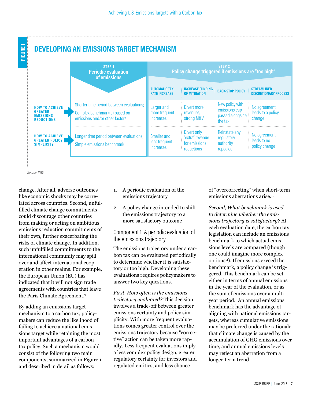



```
Source: WRI.
```
change. After all, adverse outcomes like economic shocks may be correlated across countries. Second, unfulflled climate change commitments could discourage other countries from making or acting on ambitious emissions reduction commitments of their own, further exacerbating the risks of climate change. In addition, such unfulflled commitments to the international community may spill over and afect international cooperation in other realms. For example, the European Union (EU) has indicated that it will not sign trade agreements with countries that leave the Paris Climate Agreement.9

By adding an emissions target mechanism to a carbon tax, policymakers can reduce the likelihood of failing to achieve a national emissions target while retaining the most important advantages of a carbon tax policy. Such a mechanism would consist of the following two main components, summarized in Figure 1 and described in detail as follows:

- 1. A periodic evaluation of the emissions trajectory
- 2. A policy change intended to shift the emissions trajectory to a more satisfactory outcome

Component 1: A periodic evaluation of the emissions trajectory

The emissions trajectory under a carbon tax can be evaluated periodically to determine whether it is satisfactory or too high. Developing these evaluations requires policymakers to answer two key questions.

*First, How often is the emissions trajectory evaluated?* This decision involves a trade-off between greater emissions certainty and policy simplicity. With more frequent evaluations comes greater control over the emissions trajectory because "corrective" action can be taken more rapidly. Less frequent evaluations imply a less complex policy design, greater regulatory certainty for investors and regulated entities, and less chance

of "overcorrecting" when short-term emissions aberrations arise.10

*Second, What benchmark is used to determine whether the emissions trajectory is satisfactory?* At each evaluation date, the carbon tax legislation can include an emissions benchmark to which actual emissions levels are compared (though one could imagine more complex options<sup>11</sup>). If emissions exceed the benchmark, a policy change is triggered. This benchmark can be set either in terms of annual emissions in the year of the evaluation, or as the sum of emissions over a multiyear period. An annual emissions benchmark has the advantage of aligning with national emissions targets, whereas cumulative emissions may be preferred under the rationale that climate change is caused by the accumulation of GHG emissions over time, and annual emissions levels may refect an aberration from a longer-term trend.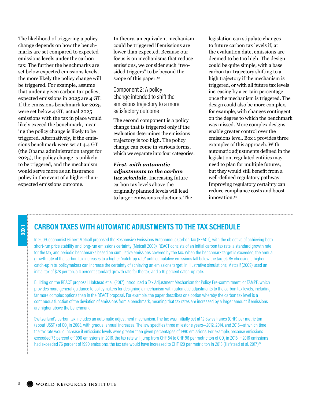The likelihood of triggering a policy change depends on how the benchmarks are set compared to expected emissions levels under the carbon tax: The further the benchmarks are set below expected emissions levels, the more likely the policy change will be triggered. For example, assume that under a given carbon tax policy, expected emissions in 2025 are 4 GT. If the emissions benchmark for 2025 were set below 4 GT, actual 2025 emissions with the tax in place would likely exceed the benchmark, meaning the policy change is likely to be triggered. Alternatively, if the emissions benchmark were set at 4.4 GT (the Obama administration target for 2025), the policy change is unlikely to be triggered, and the mechanism would serve more as an insurance policy in the event of a higher-thanexpected emissions outcome.

In theory, an equivalent mechanism could be triggered if emissions are lower than expected. Because our focus is on mechanisms that reduce emissions, we consider such "twosided triggers" to be beyond the scope of this paper.<sup>12</sup>

Component 2: A policy change intended to shift the emissions trajectory to a more satisfactory outcome

The second component is a policy change that is triggered only if the evaluation determines the emissions trajectory is too high. The policy change can come in various forms, which we separate into four categories.

*First, with automatic adjustments to the carbon tax schedule.* Increasing future carbon tax levels above the originally planned levels will lead to larger emissions reductions. The legislation can stipulate changes to future carbon tax levels if, at the evaluation date, emissions are deemed to be too high. The design could be quite simple, with a base carbon tax trajectory shifting to a high trajectory if the mechanism is triggered, or with all future tax levels increasing by a certain percentage once the mechanism is triggered. The design could also be more complex, for example, with changes contingent on the degree to which the benchmark was missed. More complex designs enable greater control over the emissions level. Box 1 provides three examples of this approach. With automatic adjustments defned in the legislation, regulated entities may need to plan for multiple futures, but they would still beneft from a well-defned regulatory pathway. Improving regulatory certainty can reduce compliance costs and boost innovation.<sup>13</sup>

## **CARBON TAXES WITH AUTOMATIC ADJUSTMENTS TO THE TAX SCHEDULE**

In 2009, economist Gilbert Metcalf proposed the Responsive Emissions Autonomous Carbon Tax (REACT), with the objective of achieving both short-run price stability and long-run emissions certainty (Metcalf 2009). REACT consists of an initial carbon tax rate, a standard growth rate for the tax, and periodic benchmarks based on cumulative emissions covered by the tax. When the benchmark target is exceeded, the annual growth rate of the carbon tax increases to a higher "catch-up rate" until cumulative emissions fall below the target. By choosing a higher catch-up rate, policymakers can increase the certainty of achieving an emissions target. In illustrative simulations, Metcalf (2009) used an initial tax of \$28 per ton, a 4 percent standard growth rate for the tax, and a 10 percent catch-up rate.

Building on the REACT proposal, Hafstead et al. (2017) introduced a Tax Adjustment Mechanism for Policy Pre-commitment, or TAMPP, which provides more general guidance to policymakers for designing a mechanism with automatic adjustments to the carbon tax levels, including far more complex options than in the REACT proposal. For example, the paper describes one option whereby the carbon tax level is a continuous function of the deviation of emissions from a benchmark, meaning that tax rates are increased by a larger amount if emissions are higher above the benchmark.

Switzerland's carbon tax includes an automatic adjustment mechanism. The tax was initially set at 12 Swiss francs (CHF) per metric ton (about US\$11) of CO<sub>2</sub> in 2008, with gradual annual increases. The law specifies three milestone years—2012, 2014, and 2016—at which time the tax rate would increase if emissions levels were greater than given percentages of 1990 emissions. For example, because emissions exceeded 73 percent of 1990 emissions in 2016, the tax rate will jump from CHF 84 to CHF 96 per metric ton of CO<sub>2</sub> in 2018. If 2016 emissions had exceeded 76 percent of 1990 emissions, the tax rate would have increased to CHF 120 per metric ton in 2018 (Hafstead et al. 2017).<sup>14</sup>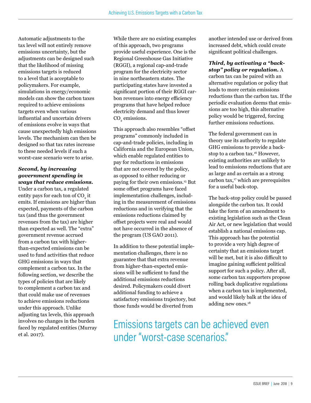Automatic adjustments to the tax level will not entirely remove emissions uncertainty, but the adjustments can be designed such that the likelihood of missing emissions targets is reduced to a level that is acceptable to policymakers. For example, simulations in energy/economic models can show the carbon taxes required to achieve emissions targets even when various infuential and uncertain drivers of emissions evolve in ways that cause unexpectedly high emissions levels. The mechanism can then be designed so that tax rates increase to these needed levels if such a worst-case scenario were to arise.

#### *Second, by increasing government spending in ways that reduce emissions.*

Under a carbon tax, a regulated entity pays for each ton of  $\mathrm{CO}_2$  it emits. If emissions are higher than expected, payments of the carbon tax (and thus the government revenues from the tax) are higher than expected as well. The "extra" government revenue accrued from a carbon tax with higherthan-expected emissions can be used to fund activities that reduce GHG emissions in ways that complement a carbon tax. In the following section, we describe the types of policies that are likely to complement a carbon tax and that could make use of revenues to achieve emissions reductions under this approach. Unlike adjusting tax levels, this approach involves no changes in the burden faced by regulated entities (Murray et al. 2017).

While there are no existing examples of this approach, two programs provide useful experience. One is the Regional Greenhouse Gas Initiative (RGGI), a regional cap-and-trade program for the electricity sector in nine northeastern states. The participating states have invested a signifcant portion of their RGGI carbon revenues into energy efficiency programs that have helped reduce electricity demand and thus lower  $CO<sub>2</sub>$  emissions.

This approach also resembles "offset" programs" commonly included in cap-and-trade policies, including in California and the European Union, which enable regulated entities to pay for reductions in emissions that are not covered by the policy, as opposed to either reducing or paying for their own emissions.15 But some offset programs have faced implementation challenges, including in the measurement of emissions reductions and in verifying that the emissions reductions claimed by offset projects were real and would not have occurred in the absence of the program (US GAO 2011).

In addition to these potential implementation challenges, there is no guarantee that that extra revenue from higher-than-expected emissions will be sufficient to fund the additional emissions reductions desired. Policymakers could divert additional funding to achieve a satisfactory emissions trajectory, but those funds would be diverted from

another intended use or derived from increased debt, which could create signifcant political challenges.

#### *Third, by activating a "backstop" policy or regulation.* A

carbon tax can be paired with an alternative regulation or policy that leads to more certain emissions reductions than the carbon tax. If the periodic evaluation deems that emissions are too high, this alternative policy would be triggered, forcing further emissions reductions.

The federal government can in theory use its authority to regulate GHG emissions to provide a backstop to a carbon tax.<sup>16</sup> However, existing authorities are unlikely to lead to emissions reductions that are as large and as certain as a strong  $carbon tax<sub>17</sub> which are prerequisites$ for a useful back-stop.

The back-stop policy could be passed alongside the carbon tax. It could take the form of an amendment to existing legislation such as the Clean Air Act, or new legislation that would establish a national emissions cap. This approach has the potential to provide a very high degree of certainty that an emissions target will be met, but it is also difficult to imagine gaining sufficient political support for such a policy. After all, some carbon tax supporters propose rolling back duplicative regulations when a carbon tax is implemented, and would likely balk at the idea of adding new ones.<sup>18</sup>

Emissions targets can be achieved even under "worst-case scenarios."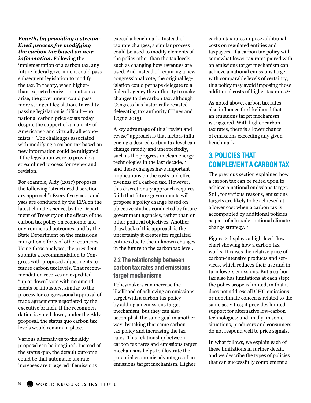#### *Fourth, by providing a streamlined process for modifying the carbon tax based on new*

*information.* Following the implementation of a carbon tax, any future federal government could pass subsequent legislation to modify the tax. In theory, when higherthan-expected emissions outcomes arise, the government could pass more stringent legislation. In reality, passing legislation is difficult—no national carbon price exists today despite the support of a majority of Americans<sup>19</sup> and virtually all economists.20 The challenges associated with modifying a carbon tax based on new information could be mitigated if the legislation were to provide a streamlined process for review and revision.

For example, Aldy (2017) proposes the following "structured discretionary approach": Every fve years, analyses are conducted by the EPA on the latest climate science, by the Department of Treasury on the efects of the carbon tax policy on economic and environmental outcomes, and by the State Department on the emissions mitigation eforts of other countries. Using these analyses, the president submits a recommendation to Congress with proposed adjustments to future carbon tax levels. That recommendation receives an expedited "up or down" vote with no amendments or flibusters, similar to the process for congressional approval of trade agreements negotiated by the executive branch. If the recommendation is voted down, under the Aldy proposal, the status quo carbon tax levels would remain in place.

Various alternatives to the Aldy proposal can be imagined. Instead of the status quo, the default outcome could be that automatic tax rate increases are triggered if emissions

exceed a benchmark. Instead of tax rate changes, a similar process could be used to modify elements of the policy other than the tax levels, such as changing how revenues are used. And instead of requiring a new congressional vote, the original legislation could perhaps delegate to a federal agency the authority to make changes to the carbon tax, although Congress has historically resisted delegating tax authority (Hines and Logue 2015).

A key advantage of this "revisit and revise" approach is that factors infuencing a desired carbon tax level can change rapidly and unexpectedly, such as the progress in clean energy technologies in the last decade,<sup>21</sup> and these changes have important implications on the costs and efectiveness of a carbon tax. However, this discretionary approach requires faith that future governments will propose a policy change based on objective studies conducted by future government agencies, rather than on other political objectives. Another drawback of this approach is the uncertainty it creates for regulated entities due to the unknown changes in the future to the carbon tax level.

## **2.2 The relationship between carbon tax rates and emissions target mechanisms**

Policymakers can increase the likelihood of achieving an emissions target with a carbon tax policy by adding an emissions target mechanism, but they can also accomplish the same goal in another way: by taking that same carbon tax policy and increasing the tax rates. This relationship between carbon tax rates and emissions target mechanisms helps to illustrate the potential economic advantages of an emissions target mechanism. Higher

carbon tax rates impose additional costs on regulated entities and taxpayers. If a carbon tax policy with somewhat lower tax rates paired with an emissions target mechanism can achieve a national emissions target with comparable levels of certainty, this policy may avoid imposing those additional costs of higher tax rates.<sup>22</sup>

As noted above, carbon tax rates also infuence the likelihood that an emissions target mechanism is triggered. With higher carbon tax rates, there is a lower chance of emissions exceeding any given benchmark.

## **3. POLICIES THAT COMPLEMENT A CARBON TAX**

The previous section explained how a carbon tax can be relied upon to achieve a national emissions target. Still, for various reasons, emissions targets are likely to be achieved at a lower cost when a carbon tax is accompanied by additional policies as part of a broader national climate change strategy.<sup>23</sup>

Figure 2 displays a high-level flow chart showing how a carbon tax works: It raises the relative price of carbon-intensive products and services, which reduces their use and in turn lowers emissions. But a carbon tax also has limitations at each step: the policy scope is limited, in that it does not address all GHG emissions or nonclimate concerns related to the same activities; it provides limited support for alternative low-carbon technologies; and fnally, in some situations, producers and consumers do not respond well to price signals.

In what follows, we explain each of these limitations in further detail, and we describe the types of policies that can successfully complement a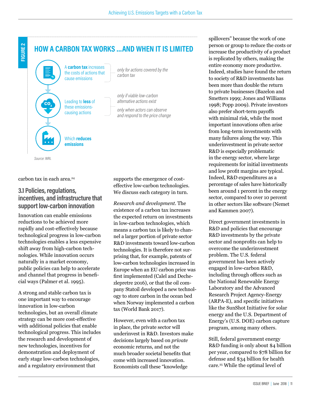

carbon tax in each area.<sup>24</sup>

## **3.1 Policies, regulations, incentives, and infrastructure that support low-carbon innovation**

Innovation can enable emissions reductions to be achieved more rapidly and cost-efectively because technological progress in low-carbon technologies enables a less expensive shift away from high-carbon technologies. While innovation occurs naturally in a market economy, public policies can help to accelerate and channel that progress in benefcial ways (Palmer et al. 1995).

A strong and stable carbon tax is one important way to encourage innovation in low-carbon technologies, but an overall climate strategy can be more cost-efective with additional policies that enable technological progress. This includes the research and development of new technologies, incentives for demonstration and deployment of early stage low-carbon technologies, and a regulatory environment that

supports the emergence of costefective low-carbon technologies. We discuss each category in turn.

*Research and development.* The existence of a carbon tax increases the expected return on investments in low-carbon technologies, which means a carbon tax is likely to channel a larger portion of private sector R&D investments toward low-carbon technologies. It is therefore not surprising that, for example, patents of low-carbon technologies increased in Europe when an EU carbon price was frst implemented (Calel and Dechezlepretre 2016), or that the oil company Statoil developed a new technology to store carbon in the ocean bed when Norway implemented a carbon tax (World Bank 2017).

However, even with a carbon tax in place, the private sector will underinvest in R&D. Investors make decisions largely based on *private* economic returns, and not the much broader societal benefts that come with increased innovation. Economists call these "knowledge

spillovers" because the work of one person or group to reduce the costs or increase the productivity of a product is replicated by others, making the entire economy more productive. Indeed, studies have found the return to society of R&D investments has been more than double the return to private businesses (Bazelon and Smetters 1999; Jones and Williams 1998; Popp 2009). Private investors also prefer short-term payofs with minimal risk, while the most important innovations often arise from long-term investments with many failures along the way. This underinvestment in private sector R&D is especially problematic in the energy sector, where large requirements for initial investments and low proft margins are typical. Indeed, R&D expenditures as a percentage of sales have historically been around 1 percent in the energy sector, compared to over 10 percent in other sectors like software (Nemet and Kammen 2007).

Direct government investments in R&D and policies that encourage R&D investments by the private sector and nonprofts can help to overcome the underinvestment problem. The U.S. federal government has been actively engaged in low-carbon R&D, including through offices such as the National Renewable Energy Laboratory and the Advanced Research Project Agency-Energy (ARPA-E), and specifc initiatives like the SunShot Initiative for solar energy and the U.S. Department of Energy's (U.S. DOE) carbon capture program, among many others.

Still, federal government energy R&D funding is only about \$4 billion per year, compared to \$78 billion for defense and \$34 billion for health care.25 While the optimal level of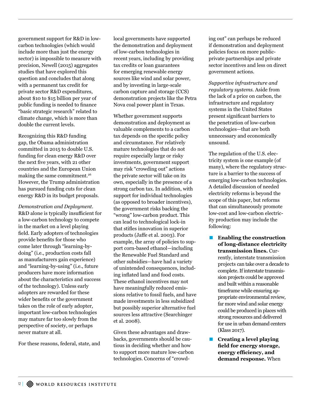government support for R&D in lowcarbon technologies (which would include more than just the energy sector) is impossible to measure with precision, Newell (2015) aggregates studies that have explored this question and concludes that along with a permanent tax credit for private sector R&D expenditures, about \$10 to \$15 billion per year of public funding is needed to fnance "basic strategic research" related to climate change, which is more than double the current levels.

Recognizing this R&D funding gap, the Obama administration committed in 2015 to double U.S. funding for clean energy R&D over the next fve years, with 21 other countries and the European Union making the same commitment.<sup>26</sup> However, the Trump administration has pursued funding cuts for clean energy R&D in its budget proposals.

*Demonstration and Deployment.*  R&D alone is typically insufficient for a low-carbon technology to compete in the market on a level playing feld. Early adopters of technologies provide benefts for those who come later through "learning-bydoing" (i.e., production costs fall as manufacturers gain experience) and "learning-by-using" (i.e., future producers have more information about the characteristics and success of the technology). Unless early adopters are rewarded for these wider benefts or the government takes on the role of early adopter, important low-carbon technologies may mature far too slowly from the perspective of society, or perhaps never mature at all.

For these reasons, federal, state, and

local governments have supported the demonstration and deployment of low-carbon technologies in recent years, including by providing tax credits or loan guarantees for emerging renewable energy sources like wind and solar power, and by investing in large-scale carbon capture and storage (CCS) demonstration projects like the Petra Nova coal power plant in Texas.

Whether government supports demonstration and deployment as valuable complements to a carbon tax depends on the specifc policy and circumstance. For relatively mature technologies that do not require especially large or risky investments, government support may risk "crowding out" actions the private sector will take on its own, especially in the presence of a strong carbon tax. In addition, with support for individual technologies (as opposed to broader incentives), the government risks backing the "wrong" low-carbon product. This can lead to technological lock-in that stifes innovation in superior products (Jafe et al. 2003). For example, the array of policies to support corn-based ethanol—including the Renewable Fuel Standard and other subsidies—have had a variety of unintended consequences, including infated land and food costs. These ethanol incentives may not have meaningfully reduced emissions relative to fossil fuels, and have made investments in less subsidized but possibly superior alternative fuel sources less attractive (Searchinger et al. 2008).

Given these advantages and drawbacks, governments should be cautious in deciding whether and how to support more mature low-carbon technologies. Concerns of "crowding out" can perhaps be reduced if demonstration and deployment policies focus on more publicprivate partnerships and private sector incentives and less on direct government actions.

*Supportive infrastructure and regulatory systems.* Aside from the lack of a price on carbon, the infrastructure and regulatory systems in the United States present signifcant barriers to the penetration of low-carbon technologies—that are both unnecessary and economically unsound.

The regulation of the U.S. electricity system is one example (of many), where the regulatory structure is a barrier to the success of emerging low-carbon technologies. A detailed discussion of needed electricity reforms is beyond the scope of this paper, but reforms that can simultaneously promote low-cost and low-carbon electricity production may include the following:

- **Enabling the construction of long-distance electricity transmission lines.** Currently, interstate transmission projects can take over a decade to complete. If interstate transmission projects could be approved and built within a reasonable timeframe while ensuring appropriate environmental review, far more wind and solar energy could be produced in places with strong resources and delivered for use in urban demand centers (Klass 2017).
- **Creating a level playing feld for energy storage, energy efficiency, and demand response.** When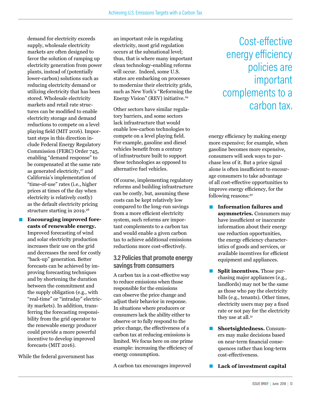demand for electricity exceeds supply, wholesale electricity markets are often designed to favor the solution of ramping up electricity generation from power plants, instead of (potentially lower-carbon) solutions such as reducing electricity demand or utilizing electricity that has been stored. Wholesale electricity markets and retail rate structures can be modifed to enable electricity storage and demand reductions to compete on a level playing feld (MIT 2016). Important steps in this direction include Federal Energy Regulatory Commission (FERC) Order 745, enabling "demand response" to be compensated at the same rate as generated electricity,<sup>27</sup> and California's implementation of "time-of-use" rates (i.e., higher prices at times of the day when electricity is relatively costly) as the default electricity pricing structure starting in 2019.<sup>28</sup>

**Encouraging improved forecasts of renewable energy.** Improved forecasting of wind and solar electricity production increases their use on the grid and decreases the need for costly "back-up" generation. Better forecasts can be achieved by improving forecasting techniques and by shortening the duration between the commitment and the supply obligation (e.g., with "real-time" or "intraday" electricity markets). In addition, transferring the forecasting responsibility from the grid operator to the renewable energy producer could provide a more powerful incentive to develop improved forecasts (MIT 2016).

While the federal government has

an important role in regulating electricity, most grid regulation occurs at the subnational level; thus, that is where many important clean technology-enabling reforms will occur. Indeed, some U.S. states are embarking on processes to modernize their electricity grids, such as New York's "Reforming the Energy Vision" (REV) initiative.29

Other sectors have similar regulatory barriers, and some sectors lack infrastructure that would enable low-carbon technologies to compete on a level playing feld. For example, gasoline and diesel vehicles beneft from a century of infrastructure built to support these technologies as opposed to alternative fuel vehicles.

Of course, implementing regulatory reforms and building infrastructure can be costly, but, assuming these costs can be kept relatively low compared to the long-run savings from a more efficient electricity system, such reforms are important complements to a carbon tax and would enable a given carbon tax to achieve additional emissions reductions more cost-efectively.

## **3.2 Policies that promote energy savings from consumers**

A carbon tax is a cost-efective way to reduce emissions when those responsible for the emissions can observe the price change and adjust their behavior in response. In situations where producers or consumers lack the ability either to observe or to fully respond to the price change, the efectiveness of a carbon tax at reducing emissions is limited. We focus here on one prime example: increasing the efficiency of energy consumption.

A carbon tax encourages improved

## Cost-efective energy eficiency policies are important complements to a carbon tax.

energy efficiency by making energy more expensive; for example, when gasoline becomes more expensive, consumers will seek ways to purchase less of it. But a price signal alone is often insufficient to encourage consumers to take advantage of all cost-efective opportunities to improve energy efficiency, for the following reasons:30

- **Information failures and asymmetries.** Consumers may have insufficient or inaccurate information about their energy use reduction opportunities, the energy efficiency characteristics of goods and services, or available incentives for efficient equipment and appliances.
- **E** Split incentives. Those purchasing major appliances (e.g., landlords) may not be the same as those who pay the electricity bills (e.g., tenants). Other times, electricity users may pay a fxed rate or not pay for the electricity they use at all.<sup>31</sup>
- **Shortsightedness.** Consumers may make decisions based on near-term fnancial consequences rather than long-term cost-efectiveness.
- **■** Lack of investment capital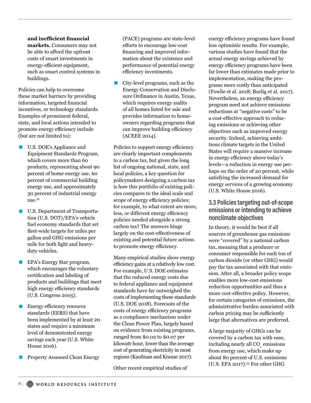#### and inefficient financial

**markets.** Consumers may not be able to afford the upfront costs of smart investments in energy-efficient equipment, such as smart control systems in buildings.

Policies can help to overcome these market barriers by providing information, targeted fnancial incentives, or technology standards. Examples of prominent federal, state, and local actions intended to promote energy efficiency include (but are not limited to):

- U.S. DOE's Appliance and Equipment Standards Program, which covers more than 60 products, representing about 90 percent of home energy use, 60 percent of commercial building energy use, and approximately 30 percent of industrial energy use.32
- U.S. Department of Transportation (U.S. DOT)/EPA's vehicle fuel economy standards that set feet-wide targets for miles per gallon and GHG emissions per mile for both light and heavyduty vehicles.
- **EPA's Energy Star program,** which encourages the voluntary certifcation and labeling of products and buildings that meet high energy efficiency standards (U.S. Congress 2005).
- $\blacksquare$  Energy efficiency resource standards (EERS) that have been implemented by at least 20 states and require a minimum level of demonstrated energy savings each year (U.S. White House 2016).
- Property Assessed Clean Energy

(PACE) programs are state-level eforts to encourage low-cost fnancing and improved information about the existence and performance of potential energy efficiency investments.

 $\blacksquare$  City-level programs, such as the Energy Conservation and Disclosure Ordinance in Austin, Texas, which requires energy audits of all homes listed for sale and provides information to homeowners regarding programs that can improve building efficiency (ACEEE 2014).

Policies to support energy efficiency are clearly important complements to a carbon tax, but given the long list of ongoing national, state, and local policies, a key question for policymakers designing a carbon tax is how this portfolio of existing policies compares to the ideal scale and scope of energy efficiency policies; for example, to what extent are more, less, or different energy efficiency policies needed alongside a strong carbon tax? The answers hinge largely on the cost-efectiveness of existing and potential future actions to promote energy efficiency.

Many empirical studies show energy efficiency gains at a relatively low cost. For example, U.S. DOE estimates that the reduced energy costs due to federal appliance and equipment standards have far outweighed the costs of implementing these standards (U.S. DOE 2018). Forecasts of the costs of energy efficiency programs as a compliance mechanism under the Clean Power Plan, largely based on evidence from existing programs, ranged from \$0.02 to \$0.07 per kilowatt-hour, lower than the average cost of generating electricity in most regions (Kaufman and Krause 2017).

Other recent empirical studies of

energy efficiency programs have found less optimistic results. For example, various studies have found that the actual energy savings achieved by energy efficiency programs have been far lower than estimates made prior to implementation, making the programs more costly than anticipated (Fowlie et al. 2018; Burlig et al. 2017). Nevertheless, an energy efficiency program need not achieve emissions reductions at "negative costs" to be a cost-efective approach to reducing emissions or achieving other objectives such as improved energy security. Indeed, achieving ambitious climate targets in the United States will require a massive increase in energy efficiency above today's levels—a reduction in energy use perhaps on the order of 20 percent, while satisfying the increased demand for energy services of a growing economy (U.S. White House 2016).

### **3.3 Policies targeting out-of-scope emissions or intending to achieve nonclimate objectives**

In theory, it would be best if all sources of greenhouse gas emissions were "covered" by a national carbon tax, meaning that a producer or consumer responsible for each ton of carbon dioxide (or other GHG) would pay the tax associated with that emission. After all, a broader policy scope enables more low-cost emissions reduction opportunities and thus a more cost-efective policy. However, for certain categories of emissions, the administrative burden associated with carbon pricing may be sufficiently large that alternatives are preferred.

A large majority of GHGs can be covered by a carbon tax with ease, including nearly all  $\mathrm{CO}_2$  emissions from energy use, which make up about 80 percent of U.S. emissions (U.S. EPA 2017).33 For other GHG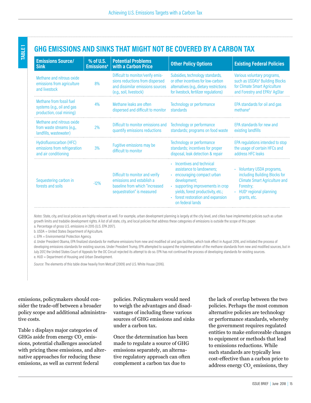**TABLE 1**

## **GHG EMISSIONS AND SINKS THAT MIGHT NOT BE COVERED BY A CARBON TAX**

| <b>Emissions Source/</b><br><b>Sink</b>                                            | % of U.S.<br><b>Emissions<sup>a</sup></b> | <b>Potential Problems</b><br>with a Carbon Price                                                                                    | <b>Other Policy Options</b>                                                                                                                                                                                                                 | <b>Existing Federal Policies</b>                                                                                                                                       |
|------------------------------------------------------------------------------------|-------------------------------------------|-------------------------------------------------------------------------------------------------------------------------------------|---------------------------------------------------------------------------------------------------------------------------------------------------------------------------------------------------------------------------------------------|------------------------------------------------------------------------------------------------------------------------------------------------------------------------|
| Methane and nitrous oxide<br>emissions from agriculture<br>and livestock           | 8%                                        | Difficult to monitor/verify emis-<br>sions reductions from dispersed<br>and dissimilar emissions sources<br>(e.g., soil, livestock) | Subsidies, technology standards,<br>or other incentives for low-carbon<br>alternatives (e.g., dietary restrictions<br>for livestock, fertilizer regulations)                                                                                | Various voluntary programs,<br>such as USDA's <sup>b</sup> Building Blocks<br>for Climate Smart Agriculture<br>and Forestry and EPA's <sup>c</sup> AgStar              |
| Methane from fossil fuel<br>systems (e.g., oil and gas<br>production, coal mining) | 4%                                        | Methane leaks are often<br>dispersed and difficult to monitor                                                                       | Technology or performance<br>standards                                                                                                                                                                                                      | EPA standards for oil and gas<br>methane <sup>d</sup>                                                                                                                  |
| Methane and nitrous oxide<br>from waste streams (e.g.,<br>landfills, wastewater)   | 2%                                        | Difficult to monitor emissions and<br>quantify emissions reductions                                                                 | Technology or performance<br>standards; programs on food waste                                                                                                                                                                              | EPA standards for new and<br>existing landfills                                                                                                                        |
| Hydrofluorocarbon (HFC)<br>emissions from refrigeration<br>and air conditioning    | 3%                                        | Fugitive emissions may be<br>difficult to monitor                                                                                   | Technology or performance<br>standards; incentives for proper<br>disposal, leak detection & repair                                                                                                                                          | EPA regulations intended to stop<br>the usage of certain HFCs and<br>address HFC leaks                                                                                 |
| Sequestering carbon in<br>forests and soils                                        | $-12%$                                    | Difficult to monitor and verify<br>emissions and establish a<br>baseline from which "increased<br>sequestration" is measured        | · Incentives and technical<br>assistance to landowners;<br>• encouraging compact urban<br>development;<br>· supporting improvements in crop<br>yields, forest productivity, etc.;<br>• forest restoration and expansion<br>on federal lands | • Voluntary USDA programs,<br>including Building Blocks for<br><b>Climate Smart Agriculture and</b><br>Forestry;<br>HUD <sup>e</sup> regional planning<br>grants, etc. |

Notes: State, city, and local policies are highly relevant as well. For example, urban development planning is largely at the city level, and cities have implemented policies such as urban growth limits and tradable development rights. A list of all state, city, and local policies that address these categories of emissions is outside the scope of this paper. a. Percentage of gross U.S. emissions in 2015 (U.S. EPA 2017).

b. USDA = United States Department of Agriculture.

c. EPA = Environmental Protection Agency.

d. Under President Obama, EPA finalized standards for methane emissions from new and modified oil and gas facilities, which took efect in August 2016, and initiated the process of developing emissions standards for existing sources. Under President Trump, EPA attempted to suspend the implementation of the methane standards from new and modified sources, but in July 2017, the United States Court of Appeals for the DC Circuit rejected its attempt to do so. EPA has not continued the process of developing standards for existing sources. e. HUD = Department of Housing and Urban Development.

*Source*: The elements of this table draw heavily from Metcalf (2009) and U.S. White House (2016).

emissions, policymakers should consider the trade-off between a broader policy scope and additional administrative costs.

Table 1 displays major categories of GHGs aside from energy  $\mathrm{CO}_2$  emissions, potential challenges associated with pricing these emissions, and alternative approaches for reducing these emissions, as well as current federal

policies. Policymakers would need to weigh the advantages and disadvantages of including these various sources of GHG emissions and sinks under a carbon tax.

Once the determination has been made to regulate a source of GHG emissions separately, an alternative regulatory approach can often complement a carbon tax due to

the lack of overlap between the two policies. Perhaps the most common alternative policies are technology or performance standards, whereby the government requires regulated entities to make enforceable changes to equipment or methods that lead to emissions reductions. While such standards are typically less cost-efective than a carbon price to address energy CO<sub>2</sub> emissions, they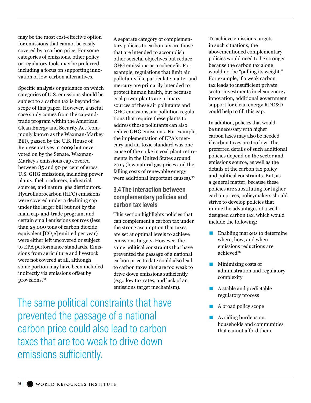may be the most cost-efective option for emissions that cannot be easily covered by a carbon price. For some categories of emissions, other policy or regulatory tools may be preferred, including a focus on supporting innovation of low-carbon alternatives.

Specifc analysis or guidance on which categories of U.S. emissions should be subject to a carbon tax is beyond the scope of this paper. However, a useful case study comes from the cap-andtrade program within the American Clean Energy and Security Act (commonly known as the Waxman-Markey Bill), passed by the U.S. House of Representatives in 2009 but never voted on by the Senate. Waxman-Markey's emissions cap covered between 85 and 90 percent of gross U.S. GHG emissions, including power plants, fuel producers, industrial sources, and natural gas distributors. Hydrofuorocarbon (HFC) emissions were covered under a declining cap under the larger bill but not by the main cap-and-trade program, and certain small emissions sources (less than 25,000 tons of carbon dioxide equivalent [CO<sub>2</sub>e] emitted per year) were either left uncovered or subject to EPA performance standards. Emissions from agriculture and livestock were not covered at all, although some portion may have been included indirectly via emissions offset by provisions.34

A separate category of complementary policies to carbon tax are those that are intended to accomplish other societal objectives but reduce GHG emissions as a cobeneft. For example, regulations that limit air pollutants like particulate matter and mercury are primarily intended to protect human health, but because coal power plants are primary sources of these air pollutants and GHG emissions, air pollution regulations that require these plants to address those pollutants can also reduce GHG emissions. For example, the implementation of EPA's mercury and air toxic standard was one cause of the spike in coal plant retirements in the United States around 2015 (low natural gas prices and the falling costs of renewable energy were additional important causes).35

## **3.4 The interaction between complementary policies and carbon tax levels**

This section highlights policies that can complement a carbon tax under the strong assumption that taxes are set at optimal levels to achieve emissions targets. However, the same political constraints that have prevented the passage of a national carbon price to date could also lead to carbon taxes that are too weak to drive down emissions sufficiently (e.g., low tax rates, and lack of an emissions target mechanism).

The same political constraints that have prevented the passage of a national carbon price could also lead to carbon taxes that are too weak to drive down emissions suficiently.

To achieve emissions targets in such situations, the abovementioned complementary policies would need to be stronger because the carbon tax alone would not be "pulling its weight." For example, if a weak carbon tax leads to insufficient private sector investments in clean energy innovation, additional government support for clean energy RDD&D could help to fll this gap.

In addition, policies that would be unnecessary with higher carbon taxes may also be needed if carbon taxes are too low. The preferred details of such additional policies depend on the sector and emissions source, as well as the details of the carbon tax policy and political constraints. But, as a general matter, because these policies are substituting for higher carbon prices, policymakers should strive to develop policies that mimic the advantages of a welldesigned carbon tax, which would include the following:

- $\blacksquare$  Enabling markets to determine where, how, and when emissions reductions are achieved36
- $\blacksquare$  Minimizing costs of administration and regulatory complexity
- $\blacksquare$  A stable and predictable regulatory process
- **A** broad policy scope
- Avoiding burdens on households and communities that cannot afford them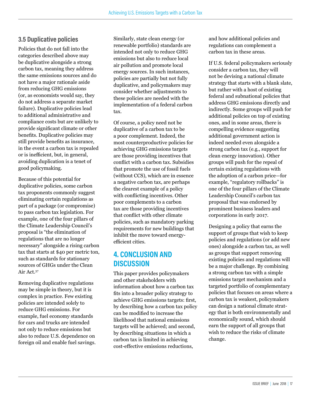## **3.5 Duplicative policies**

Policies that do not fall into the categories described above may be duplicative alongside a strong carbon tax, meaning they address the same emissions sources and do not have a major rationale aside from reducing GHG emissions (or, as economists would say, they do not address a separate market failure). Duplicative policies lead to additional administrative and compliance costs but are unlikely to provide signifcant climate or other benefts. Duplicative policies may still provide benefts as insurance, in the event a carbon tax is repealed or is inefficient, but, in general, avoiding duplication is a tenet of good policymaking.

Because of this potential for duplicative policies, some carbon tax proponents commonly suggest eliminating certain regulations as part of a package (or compromise) to pass carbon tax legislation. For example, one of the four pillars of the Climate Leadership Council's proposal is "the elimination of regulations that are no longer necessary" alongside a rising carbon tax that starts at \$40 per metric ton, such as standards for stationary sources of GHGs under the Clean Air Act.37

Removing duplicative regulations may be simple in theory, but it is complex in practice. Few existing policies are intended solely to reduce GHG emissions. For example, fuel economy standards for cars and trucks are intended not only to reduce emissions but also to reduce U.S. dependence on foreign oil and enable fuel savings.

Similarly, state clean energy (or renewable portfolio) standards are intended not only to reduce GHG emissions but also to reduce local air pollution and promote local energy sources. In such instances, policies are partially but not fully duplicative, and policymakers may consider whether adjustments to these policies are needed with the implementation of a federal carbon tax.

Of course, a policy need not be duplicative of a carbon tax to be a poor complement. Indeed, the most counterproductive policies for achieving GHG emissions targets are those providing incentives that confict with a carbon tax. Subsidies that promote the use of fossil fuels (without CCS), which are in essence a negative carbon tax, are perhaps the clearest example of a policy with conficting incentives. Other poor complements to a carbon tax are those providing incentives that confict with other climate policies, such as mandatory parking requirements for new buildings that inhibit the move toward energyefficient cities.

## **4. CONCLUSION AND DISCUSSION**

This paper provides policymakers and other stakeholders with information about how a carbon tax fts into a broader policy strategy to achieve GHG emissions targets: frst, by describing how a carbon tax policy can be modifed to increase the likelihood that national emissions targets will be achieved; and second, by describing situations in which a carbon tax is limited in achieving cost-efective emissions reductions,

and how additional policies and regulations can complement a carbon tax in these areas.

If U.S. federal policymakers seriously consider a carbon tax, they will not be devising a national climate strategy that starts with a blank slate, but rather with a host of existing federal and subnational policies that address GHG emissions directly and indirectly. Some groups will push for additional policies on top of existing ones, and in some areas, there is compelling evidence suggesting additional government action is indeed needed even alongside a strong carbon tax (e.g., support for clean energy innovation). Other groups will push for the repeal of certain existing regulations with the adoption of a carbon price—for example, "regulatory rollbacks" is one of the four pillars of the Climate Leadership Council's carbon tax proposal that was endorsed by prominent business leaders and corporations in early 2017.

Designing a policy that earns the support of groups that wish to keep policies and regulations (or add new ones) alongside a carbon tax, as well as groups that support removing existing policies and regulations will be a major challenge. By combining a strong carbon tax with a simple emissions target mechanism and a targeted portfolio of complementary policies that focuses on areas where a carbon tax is weakest, policymakers can design a national climate strategy that is both environmentally and economically sound, which should earn the support of all groups that wish to reduce the risks of climate change.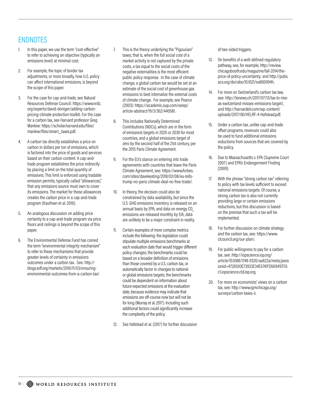## ENDNOTES

- In this paper, we use the term "cost-effective" to refer to achieving an objective (typically an emissions level) at minimal cost.
- 2. For example, the topic of border tax adjustments, or more broadly, how U.S. policy can afect international emissions, is beyond the scope of this paper.
- 3. For the case for cap-and-trade, see Natural Resources Defense Council: https://www.nrdc. org/experts/david-doniger/adding-carbonpricing-climate-protection-toolkit. For the case for a carbon tax, see Harvard professor Greg Mankiw: https://scholar.harvard.edu/files/ mankiw/files/smart\_taxes.pdf.
- 4. A carbon tax directly establishes a price on carbon in dollars per ton of emissions, which is factored into the price of goods and services based on their carbon content. A cap-andtrade program establishes the price indirectly by placing a limit on the total quantity of emissions. This limit is enforced using tradable emission permits, typically called "allowances," that any emissions source must own to cover its emissions. The market for these allowances creates the carbon price in a cap-and-trade program (Kaufman et al. 2016).
- 5. An analogous discussion on adding price certainty to a cap-and-trade program via price floors and ceilings is beyond the scope of this paper.
- 6. The Environmental Defense Fund has coined the term "environmental integrity mechanism" to refer to these mechanisms that provide greater levels of certainty in emissions outcomes under a carbon tax. See: http:// blogs.edf.org/markets/2016/11/03/ensuringenvironmental-outcomes-from-a-carbon-tax/.
- 7. This is the theory underlying the "Pigouvian" taxes; that is, when the full social cost of a market activity is not captured by the private costs, a tax equal to the social costs of the negative externalities is the most eficient public policy response. In the case of climate change, a global carbon tax would be set at an estimate of the social cost of greenhouse gas emissions to best internalize the external costs of climate change. For example, see Pearce (2003): https://academic.oup.com/oxrep/ article-abstract/19/3/362/440581.
- 8. This includes Nationally Determined Contributions (NDCs), which are in the form of emissions targets in 2025 or 2030 for most countries, and a global emissions target of zero by the second half of the 21st century, per the 2015 Paris Climate Agreement.
- 9. For the EU's stance on entering into trade agreements with countries that leave the Paris Climate Agreement, see: https://www.forbes. com/sites/davekeating/2018/02/08/eu-tellstrump-no-paris-climate-deal-no-free-trade/.
- 10. In theory, the decision could also be constrained by data availability, but since the U.S. GHG emissions inventory is released on an annual basis by EPA, and data on energy CO<sub>2</sub> emissions are released monthly by EIA, data are unlikely to be a major constraint in reality.
- 11. Certain examples of more complex metrics include the following: the legislation could stipulate multiple emissions benchmarks at each evaluation date that would trigger diferent policy changes; the benchmarks could be based on a broader definition of emissions than those covered by a U.S. carbon tax, or automatically factor in changes to national or global emissions targets; the benchmarks could be dependent on information about future expected emissions at the evaluation date, because evidence may indicate that emissions are off-course now but will not be for long (Murray et al. 2017). Including such additional factors could significantly increase the complexity of the policy.
- 12. See Hafstead et al. (2017) for further discussion

of two-sided triggers.

- 13. On benefits of a well-defined regulatory pathway, see, for example, http://review. chicagobooth.edu/magazine/fall-2014/theprice-of-policy-uncertainty; and http://pubs. acs.org/doi/abs/10.1021/es800094h.
- 14. For more on Switzerland's carbon tax law, see: http://lenews.ch/2017/07/13/tax-to-riseas-switzerland-misses-emissions-target/, and http://harvardelr.com/wp-content/ uploads/2017/06/HELRF-4-Hafstead.pdf.
- 15. Under a carbon tax, unlike cap-and-trade ofset programs, revenues could also be used to fund additional emissions reductions from sources that are covered by the policy.
- 16. Due to Massachusetts v. EPA (Supreme Court 2007) and EPA's Endangerment Finding (2009).
- 17. With the phrase "strong carbon tax" referring to policy with tax levels suficient to exceed national emissions targets. Of course, a strong carbon tax is also not currently providing large or certain emissions reductions, but this discussion is based on the premise that such a tax will be implemented.
- 18. For further discussion on climate strategy and the carbon tax, see: https://www. clcouncil.org/our-plan/.
- 19. For public willingness to pay for a carbon tax, see: http://iopscience.iop.org/ article/10.1088/1748-9326/aa822a/meta;jsess ionid=4726593E73933E34E5741FD56941EF51. c1.iopscience.cld.iop.org.
- 20. For more on economists' views on a carbon tax, see: http://www.igmchicago.org/ surveys/carbon-taxes-ii.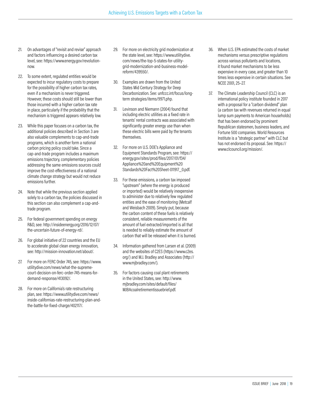- 21. On advantages of "revisit and revise" approach and factors influencing a desired carbon tax level, see: https://www.energy.gov/revolutionnow.
- 22. To some extent, regulated entities would be expected to incur regulatory costs to prepare for the possibility of higher carbon tax rates. even if a mechanism is never triggered. However, these costs should still be lower than those incurred with a higher carbon tax rate in place, particularly if the probability that the mechanism is triggered appears relatively low.
- 23. While this paper focuses on a carbon tax, the additional policies described in Section 3 are also valuable complements to cap-and-trade programs, which is another form a national carbon pricing policy could take. Since a cap-and-trade program includes a maximum emissions trajectory, complementary policies addressing the same emissions sources could improve the cost-efectiveness of a national climate change strategy but would not reduce emissions further.
- 24. Note that while the previous section applied solely to a carbon tax, the policies discussed in this section can also complement a cap-andtrade program.
- 25. For federal government spending on energy R&D, see: http://insideenergy.org/2016/12/07/ the-uncertain-future-of-energy-rd/.
- 26. For global initiative of 22 countries and the EU to accelerate global clean energy innovation, see: http://mission-innovation.net/about/.
- 27. For more on FERC Order 745, see: https://www. utilitydive.com/news/what-the-supremecourt-decision-on-ferc-order-745-means-fordemand-response/413092/.
- 28. For more on California's rate restructuring plan, see: https://www.utilitydive.com/news/ inside-californias-rate-restructuring-plan-andthe-battle-for-fixed-charge/402117/.
- 29. For more on electricity grid modernization at the state level, see: https://www.utilitydive. com/news/the-top-5-states-for-utilitygrid-modernization-and-business-modelreform/439550/.
- 30. Examples are drawn from the United States Mid Century Strategy for Deep Decarbonization. See: unfccc.int/focus/longterm strategies/items/9971.php.
- 31. Levinson and Niemann (2004) found that including electric utilities as a fixed rate in tenants' rental contracts was associated with significantly greater energy use than when these electric bills were paid by the tenants themselves.
- 32. For more on U.S. DOE's Appliance and Equipment Standards Program, see: https:// energy.gov/sites/prod/files/2017/01/f34/ Appliance%20and%20Equipment%20 Standards%20Fact%20Sheet-011917\_0.pdf.
- 33. For these emissions, a carbon tax imposed "upstream" (where the energy is produced or imported) would be relatively inexpensive to administer due to relatively few regulated entities and the ease of monitoring (Metcalf and Weisbach 2009). Simply put, because the carbon content of these fuels is relatively consistent, reliable measurements of the amount of fuel extracted/imported is all that is needed to reliably estimate the amount of carbon that will be released when it is burned.
- 34. Information gathered from Larsen et al. (2009) and the websites of C2ES (https://www.c2es. org/) and M.J. Bradley and Associates (http:// www.mjbradley.com/).
- 35. For factors causing coal plant retirements in the United States, see: http://www. mjbradley.com/sites/default/files/ MJBAcoalretirementissuebrief.pdf.
- 36. When U.S. EPA estimated the costs of market mechanisms versus prescriptive regulations across various pollutants and locations, it found market mechanisms to be less expensive in every case, and greater than 10 times less expensive in certain situations. See NCEE 2001, 25–27.
- 37. The Climate Leadership Council (CLC) is an international policy institute founded in 2017 with a proposal for a "carbon dividend" plan (a carbon tax with revenues returned in equal lump sum payments to American households) that has been endorsed by prominent Republican statesmen, business leaders, and Fortune 500 companies. World Resources Institute is a "strategic partner" with CLC but has not endorsed its proposal. See: https:// www.clcouncil.org/mission/.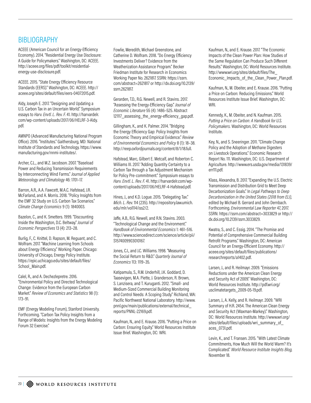## **BIBLIOGRAPHY**

ACEEE (American Council for an Energy-Eficiency Economy). 2014. "Residential Energy Use Disclosure: A Guide for Policymakers." Washington, DC: ACEEE. http://aceee.org/files/pdf/toolkit/residentialenergy-use-disclosure.pdf.

ACEEE. 2015. "State Energy Eficiency Resource Standards (EERS)." Washington, DC: ACEEE. http:// aceee.org/sites/default/files/eers-04072015.pdf.

Aldy, Joseph E. 2017. "Designing and Updating a U.S. Carbon Tax in an Uncertain World." Symposium essays to *Harv. Envtl. L. Rev. F.* 41. http://harvardelr. com/wp-content/uploads/2017/06/HELRF-3-Aldy. pdf.

AMNPO (Advanced Manufacturing National Program Ofice). 2016. "Institutes." Gaithersburg, MD: National Institute of Standards and Technology. https://www. manufacturing.gov/nnmi-institutes/.

Archer, C.L., and M.Z. Jacobson. 2007. "Baseload Power and Reducing Transmission Requirements by Interconnecting Wind Farms." *Journal of Applied Meteorology and Climatology* 46: 1701–17.

Barron, A.R., A.A. Fawcett, M.A.C. Hafstead, J.R. McFarland, and A. Morris. 2018. "Policy Insights from the EMF 32 Study on U.S. Carbon Tax Scenarios." *Climate Change Economics* 9 (1): 1840003.

Bazelon, C., and K. Smetters. 1999. "Discounting Inside the Washington, D.C. Beltway." *Journal of Economic Perspectives* 13 (4): 213–28.

Burlig, F., C. Knittel, D. Rapson, M. Reguant, and C. Wolfram. 2017. "Machine Learning from Schools about Energy Eficiency." Working Paper. Chicago: University of Chicago, Energy Policy Institute. https://epic.uchicago.edu/sites/default/files/ School Main.pdf.

Calel, R., and A. Dechezlepretre. 2016. "Environmental Policy and Directed Technological Change: Evidence from the European Carbon Market." *Review of Economics and Statistics* 98 (1): 173–91.

EMF (Energy Modeling Forum), Stanford University. Forthcoming. "Carbon Tax Policy Insights from a Range of Models: Insights from the Energy Modeling Forum 32 Exercise."

Fowlie, Meredith, Michael Greenstone, and Catherine D. Wolfram. 2018. "Do Energy Eficiency Investments Deliver? Evidence from the Weatherization Assistance Program." Becker Friedman Institute for Research in Economics Working Paper No. 2621817. SSRN: https://ssrn. com/abstract=2621817 or http://dx.doi.org/10.2139/ ssrn.2621817.

Gerarden, T.D., R.G. Newell, and R. Stavins. 2017. "Assessing the Energy-Eficiency Gap." *Journal of Economic Literature* 55 (4): 1486–525. Abstract 121117 assessing the energy-efficiency gap.pdf.

Gillingham, K., and K. Palmer. 2014. "Bridging the Energy Eficiency Gap: Policy Insights from Economic Theory and Empirical Evidence." *Review of Environmental Economics and Policy* 8 (1): 18–38. http://reep.oxfordjournals.org/content/8/1/18.full.

Hafstead, Marc, Gilbert E. Metcalf, and Roberton C. Williams III. 2017. "Adding Quantity Certainty to a Carbon Tax through a Tax Adjustment Mechanism for Policy Pre-commitment." Symposium essays to *Harv. Envtl. L. Rev. F.* 41. http://harvardelr.com/wpcontent/uploads/2017/06/HELRF-4-Hafstead.pdf.

Hines, J., and K.D. Logue. 2015. "Delegating Tax." *Mich. L. Rev.* 114 (235). http://repository.law.umich. edu/mlr/vol114/iss2/2.

Jafe, A.B., R.G. Newell, and R.N. Stavins. 2003. "Technological Change and the Environment." *Handbook of Environmental Economics* 1: 461–516. http://www.sciencedirect.com/science/article/pii/ S1574009903010167.

Jones, C.I., and J.C. Williams. 1998. "Measuring the Social Return to R&D." *Quarterly Journal of Economics* 113: 1119–35.

Katipamula, S., R.M. Underhill, J.K. Goddard, D. Taasevigen, M.A. Piette, J. Granderson, R. Brown, S. Lanzisera, and T. Kuruganti. 2012. "Small- and Medium-Sized Commercial Building Monitoring and Control Needs: A Scoping Study." Richland, WA: Pacific Northwest National Laboratory. http://www. pnnl.gov/main/publications/external/technical\_ reports/PNNL-22169.pdf.

Kaufman, N., and E. Krause. 2016. "Putting a Price on Carbon: Ensuring Equity." World Resources Institute Issue Brief. Washington, DC: WRI.

Kaufman, N., and E. Krause. 2017. "The Economic Impacts of the Clean Power Plan: How Studies of the Same Regulation Can Produce Such Diferent Results." Washington, DC: World Resources Institute. http://www.wri.org/sites/default/files/The\_ Economic\_Impacts\_of\_the\_Clean\_Power\_Plan.pdf.

Kaufman, N., M. Obeiter, and E. Krause. 2016. "Putting a Price on Carbon: Reducing Emissions." World Resources Institute Issue Brief. Washington, DC: WRI.

Kennedy, K., M. Obeiter, and N. Kaufman. 2015. *Putting a Price on Carbon: A Handbook for U.S. Policymakers.* Washington, DC: World Resources Institute.

Key, N., and S. Sneeringer. 2011. "Climate Change Policy and the Adoption of Methane Digesters on Livestock Operations." Economic Research Report No. 111. Washington, DC: U.S. Department of Agriculture. http://www.ers.usda.gov/media/131839/ err111.pdf.

Klass, Alexandra, B. 2017. "Expanding the U.S. Electric Transmission and Distribution Grid to Meet Deep Decarbonization Goals." In *Legal Pathways to Deep Decarbonization in the United States (2018 from ELI),*  edited by Michael B. Gerrard and John Dernbach. Forthcoming. *Environmental Law Reporter* 47, 2017. SSRN: https://ssrn.com/abstract=3033829 or http:// dx.doi.org/10.2139/ssrn.3033829.

Kwatra, S., and C. Essig. 2014. "The Promise and Potential of Comprehensive Commercial Building Retrofit Programs." Washington, DC: American Council for an Energy-Eficient Economy. http:// aceee.org/sites/default/files/publications/ researchreports/a1402.pdf.

Larsen, J., and R. Heilmayr. 2009. "Emissions Reductions under the American Clean Energy and Security Act of 2009." Washington, DC: World Resources Institute. http://pdf.wri.org/ usclimatetargets\_2009-05-19.pdf.

Larsen, J., A. Kelly, and R. Heilmayr. 2009. "WRI Summary of H.R. 2454. The American Clean Energy and Security Act (Waxman-Markey)." Washington, DC: World Resources Institute. http://www.wri.org/ sites/default/files/uploads/wri\_summary\_of aces\_0731.pdf.

Levin, K., and T. Fransen. 2015. "With Latest Climate Commitments, How Much Will the World Warm? It's Complicated." *World Resource Institute Insights Blog,* November 18.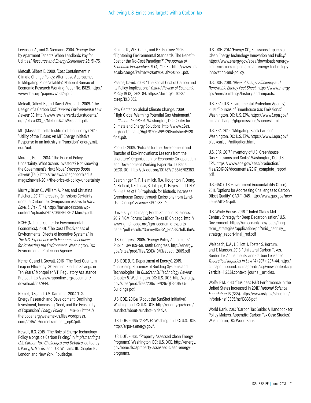Levinson, A., and S. Niemann. 2004. "Energy Use by Apartment Tenants When Landlords Pay for Utilities." *Resource and Energy Economics* 26: 51–75.

Metcalf, Gilbert E. 2009. "Cost Containment in Climate Change Policy: Alternative Approaches to Mitigating Price Volatility." National Bureau of Economic Research Working Paper No. 15125. http:// www.nber.org/papers/w15125.pdf.

Metcalf, Gilbert E., and David Weisbach. 2009. "The Design of a Carbon Tax." *Harvard Environmental Law Review* 33. http://www.law.harvard.edu/students/ orgs/elr/vol33\_2/Metcalf%20Weisbach.pdf.

MIT (Massachusetts Institute of Technology). 2016. "Utility of the Future: An MIT Energy Initiative Response to an Industry in Transition." energy.mit. edu/uof.

Mordfin, Robin. 2014. "The Price of Policy Uncertainty. What Scares Investors? Not Knowing the Government's Next Move." *Chicago Booth Review* (Fall). http://review.chicagobooth.edu/ magazine/fall-2014/the-price-of-policy-uncertainty.

Murray, Brian C., William A. Pizer, and Christina Reichert. 2017. "Increasing Emissions Certainty under a Carbon Tax. Symposium essays to *Harv. Envtl. L. Rev. F.* 41. http://harvardelr.com/wpcontent/uploads/2017/06/HELRF-2-Murray.pdf.

NCEE (National Center for Environmental Economics). 2001. "The Cost Efectiveness of Environmental Efects of Incentive Systems." In *The U.S. Experience with Economic Incentives for Protecting the Environment.* Washington, DC: Environmental Protection Agency.

Neme, C., and J. Grevatt. 2016. "The Next Quantum Leap in Eficiency: 30 Percent Electric Savings in Ten Years." Montpelier, VT: Regulatory Assistance Project. http://www.raponline.org/document/ download/id/7944.

Nemet, G.F., and D.M. Kammen. 2007. "U.S. Energy Research and Development: Declining Investment, Increasing Need, and the Feasibility of Expansion." *Energy Policy* 35: 746–55. https:// thefoodenergywaternexus.files.wordpress. com/2015/10/nemetkammen\_ep07.pdf.

Newell, R.G. 2015. "The Role of Energy Technology Policy alongside Carbon Pricing." In *Implementing a U.S. Carbon Tax: Challenges and Debates*, edited by I. Parry, A. Morris, and D.R. Williams III, Chapter 10. London and New York: Routledge.

Palmer, K., W.E. Oates, and P.R. Portney. 1995. "Tightening Environmental Standards: The Benefit-Cost or the No-Cost Paradigm?" *The Journal of Economic Perspectives* 9 (4): 119–32. http://www.ucl. ac.uk/cserge/Palmer%20et%20 al%201995.pdf.

Pearce, David. 2003. "The Social Cost of Carbon and Its Policy Implications." *Oxford Review of Economic Policy* 19 (3): 362–84. https://doi.org/10.1093/ oxrep/19.3.362.

Pew Center on Global Climate Change. 2009. "High Global Warming Potential Gas Abatement." In *Climate TechBook.* Washington, DC: Center for Climate and Energy Solutions. http://www.c2es. org/docUploads/High%20GWP%20Factsheet%20 final.pdf.

Popp, D. 2009. "Policies for the Development and Transfer of Eco-innovations: Lessons from the Literature." Organisation for Economic Co-operation and Development Working Paper No. 10. Paris: OECD. DOI: http://dx.doi. org/10.1787/218676702383.

Searchinger, T., R. Heimlich, R.A. Houghton, F. Dong, A. Elobeid, J. Fabiosa, S. Tokgoz, D. Hayes, and T-H Yu. "2008. Use of US Croplands for Biofuels Increases Greenhouse Gases through Emissions from Land-Use Change." *Science* 319, 1238–40.

University of Chicago, Booth School of Business. 2012. "IGM Forum: Carbon Taxes II." Chicago. http:// www.igmchicago.org/igm-economic-expertspanel/poll-results?SurveyID=SV\_8oABK2TolkGluV7.

U.S. Congress. 2005. "Energy Policy Act of 2005." Public Law 109–58. 109th Congress. http://energy. gov/sites/prod/files/2013/10/f3/epact\_2005.pdf.

U.S. DOE (U.S. Department of Energy). 2015. "Increasing Eficiency of Building Systems and Technologies." In *Quadrennial Technology Review*, Chapter 5. Washington, DC: U.S. DOE. http://energy. gov/sites/prod/files/2015/09/f26/QTR2015-05- Buildings.pdf.

U.S. DOE. 2016a. "About the SunShot Initiative." Washington, DC: U.S. DOE. http://energy.gov/eere/ sunshot/about-sunshot-initiative.

U.S. DOE. 2016b. "ARPA-E." Washington, DC: U.S. DOE. http://arpa-e.energy.gov/.

U.S. DOE. 2016c. "Property-Assessed Clean Energy Programs." Washington, DC: U.S. DOE. http://energy. gov/eere/slsc/property-assessed-clean-energyprograms.

U.S. DOE. 2017. "Energy CO $_{\tiny 2}$  Emissions Impacts of Clean Energy Technology Innovation and Policy." https://www.energy.gov/epsa/downloads/energyco2-emissions-impacts-clean-energy-technologyinnovation-and-policy.

U.S. DOE. 2018. *Ofice of Energy Eficiency and Renewable Energy Fact Sheet.* https://www.energy. gov/eere/buildings/history-and-impacts.

U.S. EPA (U.S. Environmental Protection Agency). 2014. "Sources of Greenhouse Gas Emissions." Washington, DC: U.S. EPA. https://www3.epa.gov/ climatechange/ghgemissions/sources.html.

U.S. EPA. 2016. "Mitigating Black Carbon." Washington, DC: U.S. EPA. https://www3.epa.gov/ blackcarbon/mitigation.html.

U.S. EPA. 2017. "Inventory of U.S. Greenhouse Gas Emissions and Sinks." Washington, DC: U.S. EPA. https://www.epa.gov/sites/production/ files/2017-02/documents/2017\_complete\_report. pdf.

U.S. GAO (U.S. Government Accountability Ofice). 2011. "Options for Addressing Challenges to Carbon Ofset Quality." GAO-11-345. http://www.gao.gov/new. items/d11345.pdf.

U.S. White House. 2016. "United States Mid Century Strategy for Deep Decarbonization." U.S. Government. https://unfccc.int/files/focus/longterm\_strategies/application/pdf/mid\_century strategy\_report-final\_red.pdf.

Weisbach, D.A., J. Elliott, I. Foster, S. Kortum, and T. Munson. 2013. "Unilateral Carbon Taxes, Border Tax Adjustments, and Carbon Leakage." *Theoretical Inquiries in Law* 14 (207): 207–44. http:// chicagounbound.uchicago.edu/cgi/viewcontent.cgi ?article=11233&context=journal\_articles.

Wolfe, R.M. 2013. "Business R&D Performance in the United States Increased in 2011." *National Science Foundation* 13 (335). http://www.nsf.gov/statistics/ infbrief/nsf13335/nsf13335.pdf.

World Bank. 2017. "Carbon Tax Guide: A Handbook for Policy Makers. Appendix: Carbon Tax Case Studies." Washington, DC: World Bank.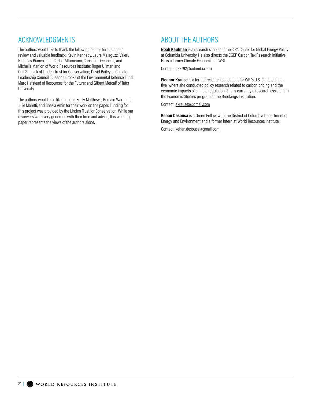## ACKNOWLEDGMENTS

The authors would like to thank the following people for their peer review and valuable feedback: Kevin Kennedy, Laura Malaguzzi Valeri, Nicholas Bianco, Juan Carlos-Altamirano, Christina Deconcini, and Michelle Manion of World Resources Institute; Roger Ullman and Cait Shubick of Linden Trust for Conservation; David Bailey of Climate Leadership Council; Susanne Brooks of the Environmental Defense Fund; Marc Hafstead of Resources for the Future; and Gilbert Metcalf of Tufts University.

The authors would also like to thank Emily Matthews, Romain Warnault, Julie Moretti, and Shazia Amin for their work on the paper. Funding for this project was provided by the Linden Trust for Conservation. While our reviewers were very generous with their time and advice, this working paper represents the views of the authors alone.

## ABOUT THE AUTHORS

**Noah Kaufman** is a research scholar at the SIPA Center for Global Energy Policy at Columbia University. He also directs the CGEP Carbon Tax Research Initiative. He is a former Climate Economist at WRI.

Contact: nk2792@columbia.edu

**Eleanor Krause** is a former research consultant for WRI's U.S. Climate Initiative, where she conducted policy research related to carbon pricing and the economic impacts of climate regulation. She is currently a research assistant in the Economic Studies program at the Brookings Institution.

Contact: ekrause9@gmail.com

**Kehan Desousa** is a Green Fellow with the District of Columbia Department of Energy and Environment and a former intern at World Resources Institute.

Contact: kehan.desousa@gmail.com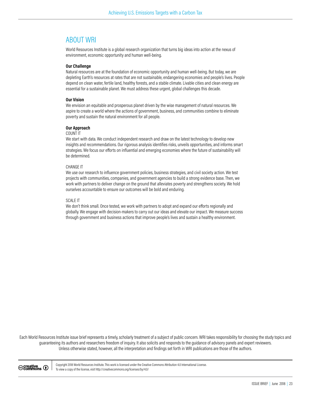## ABOUT WRI

World Resources Institute is a global research organization that turns big ideas into action at the nexus of environment, economic opportunity and human well-being.

#### **Our Challenge**

Natural resources are at the foundation of economic opportunity and human well-being. But today, we are depleting Earth's resources at rates that are not sustainable, endangering economies and people's lives. People depend on clean water, fertile land, healthy forests, and a stable climate. Livable cities and clean energy are essential for a sustainable planet. We must address these urgent, global challenges this decade.

#### **Our Vision**

We envision an equitable and prosperous planet driven by the wise management of natural resources. We aspire to create a world where the actions of government, business, and communities combine to eliminate poverty and sustain the natural environment for all people.

#### **Our Approach**

#### COUNT IT

We start with data. We conduct independent research and draw on the latest technology to develop new insights and recommendations. Our rigorous analysis identifies risks, unveils opportunities, and informs smart strategies. We focus our eforts on influential and emerging economies where the future of sustainability will be determined.

#### CHANGE IT

We use our research to influence government policies, business strategies, and civil society action. We test projects with communities, companies, and government agencies to build a strong evidence base. Then, we work with partners to deliver change on the ground that alleviates poverty and strengthens society. We hold ourselves accountable to ensure our outcomes will be bold and enduring.

#### SCALE IT

We don't think small. Once tested, we work with partners to adopt and expand our efforts regionally and globally. We engage with decision-makers to carry out our ideas and elevate our impact. We measure success through government and business actions that improve people's lives and sustain a healthy environment.

Each World Resources Institute issue brief represents a timely, scholarly treatment of a subject of public concern. WRI takes responsibility for choosing the study topics and guaranteeing its authors and researchers freedom of inquiry. It also solicits and responds to the guidance of advisory panels and expert reviewers. Unless otherwise stated, however, all the interpretation and findings set forth in WRI publications are those of the authors.

© Creative<br>© Commons ①

Copyright 2018 World Resources Institute. This work is licensed under the Creative Commons Attribution 4.0 International License. To view a copy of the license, visit http://creativecommons.org/licenses/by/4.0/